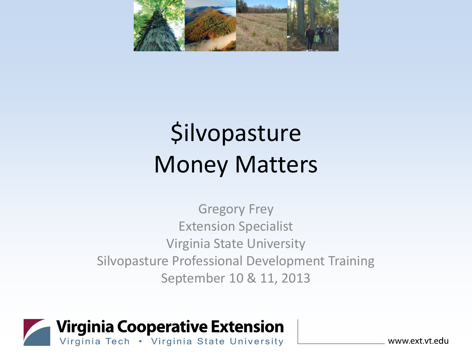

## \$ilvopasture Money Matters

Gregory Frey Extension Specialist Virginia State University Silvopasture Professional Development Training September 10 & 11, 2013

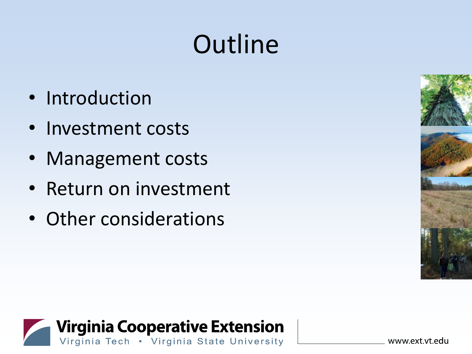# **Outline**

- Introduction
- Investment costs
- Management costs
- Return on investment
- Other considerations



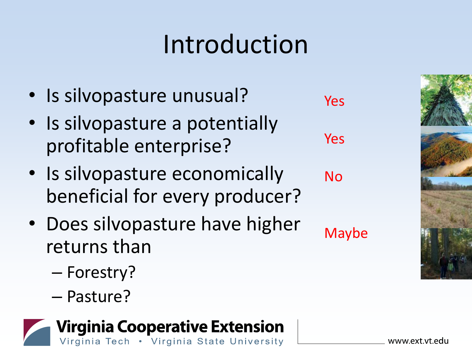# Introduction

- Is silvopasture unusual?
- Is silvopasture a potentially profitable enterprise?
- Is silvopasture economically beneficial for every producer?
- Does silvopasture have higher returns than
	- Forestry?
	- Pasture?



Yes No

Maybe

Yes

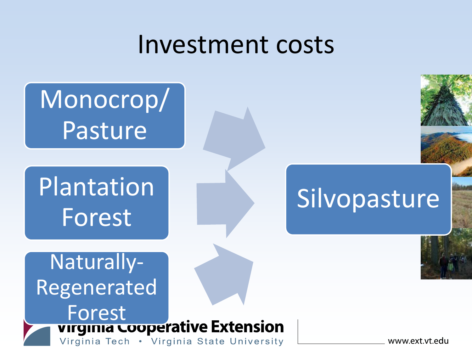#### Investment costs

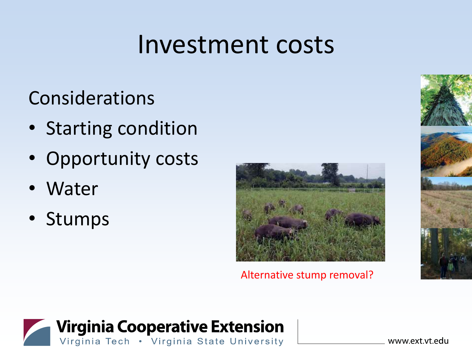#### Investment costs

Considerations

- Starting condition
- Opportunity costs
- Water
- Stumps



Alternative stump removal?



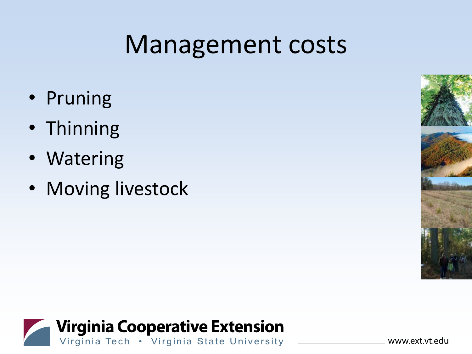### Management costs

- Pruning
- Thinning
- Watering
- Moving livestock



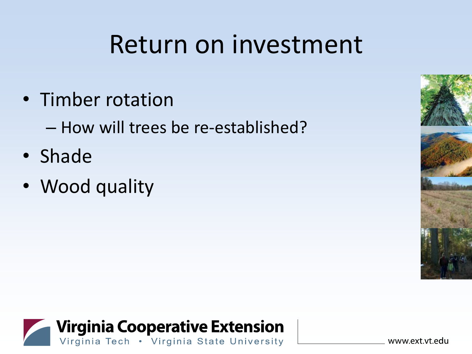## Return on investment

• Timber rotation

– How will trees be re-established?

- Shade
- Wood quality



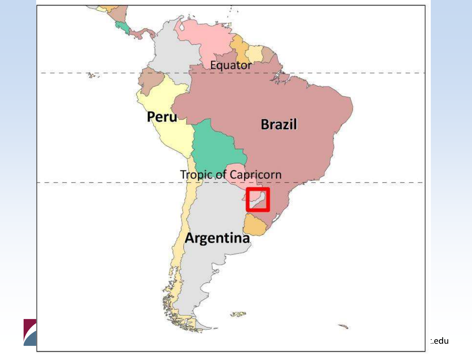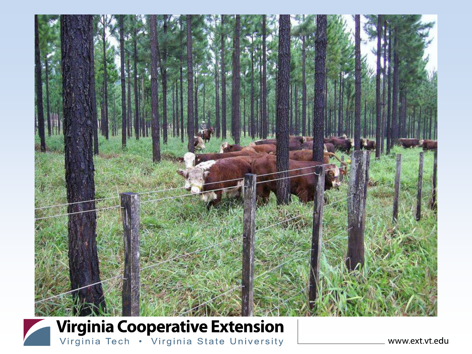

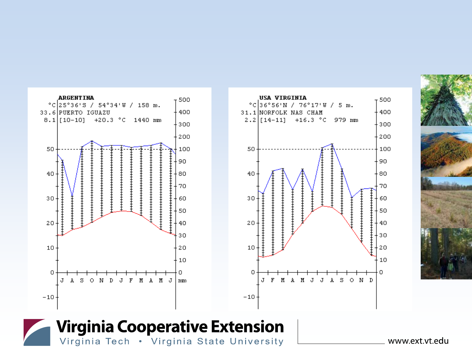



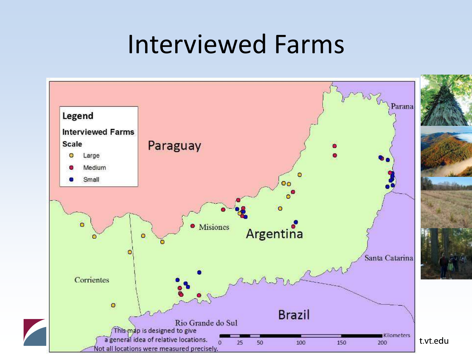#### Interviewed Farms

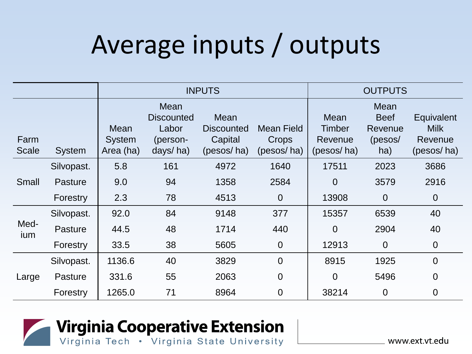## Average inputs / outputs

|              |            | <b>INPUTS</b> |                                    |                           |                   | <b>OUTPUTS</b> |                                |                           |
|--------------|------------|---------------|------------------------------------|---------------------------|-------------------|----------------|--------------------------------|---------------------------|
|              |            | Mean          | Mean<br><b>Discounted</b><br>Labor | Mean<br><b>Discounted</b> | <b>Mean Field</b> | Mean<br>Timber | Mean<br><b>Beef</b><br>Revenue | Equivalent<br><b>Milk</b> |
| Farm         |            | System        | (person-                           | Capital                   | Crops             | Revenue        | $($ pesos $/$                  | Revenue                   |
| <b>Scale</b> | System     | Area (ha)     | days/ha)                           | (pesos/ha)                | (pesos/ha)        | (pesos/ha)     | ha)                            | (pesos/ha)                |
| Small        | Silvopast. | 5.8           | 161                                | 4972                      | 1640              | 17511          | 2023                           | 3686                      |
|              | Pasture    | 9.0           | 94                                 | 1358                      | 2584              | $\overline{0}$ | 3579                           | 2916                      |
|              | Forestry   | 2.3           | 78                                 | 4513                      | $\theta$          | 13908          | $\overline{0}$                 | $\overline{0}$            |
| Med-<br>ium  | Silvopast. | 92.0          | 84                                 | 9148                      | 377               | 15357          | 6539                           | 40                        |
|              | Pasture    | 44.5          | 48                                 | 1714                      | 440               | $\overline{0}$ | 2904                           | 40                        |
|              | Forestry   | 33.5          | 38                                 | 5605                      | $\theta$          | 12913          | $\overline{0}$                 | $\overline{0}$            |
| Large        | Silvopast. | 1136.6        | 40                                 | 3829                      | $\mathbf 0$       | 8915           | 1925                           | $\mathbf 0$               |
|              | Pasture    | 331.6         | 55                                 | 2063                      | $\overline{0}$    | $\Omega$       | 5496                           | $\mathbf 0$               |
|              | Forestry   | 1265.0        | 71                                 | 8964                      | $\overline{0}$    | 38214          | $\overline{0}$                 | $\overline{0}$            |

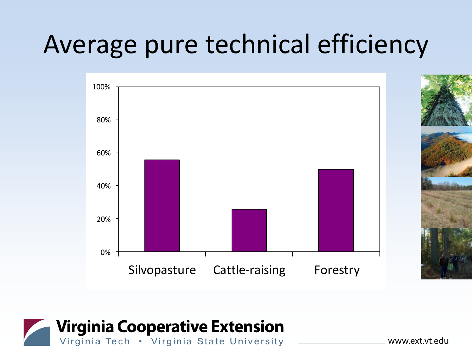## Average pure technical efficiency





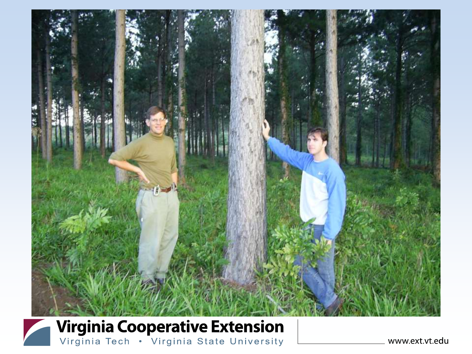